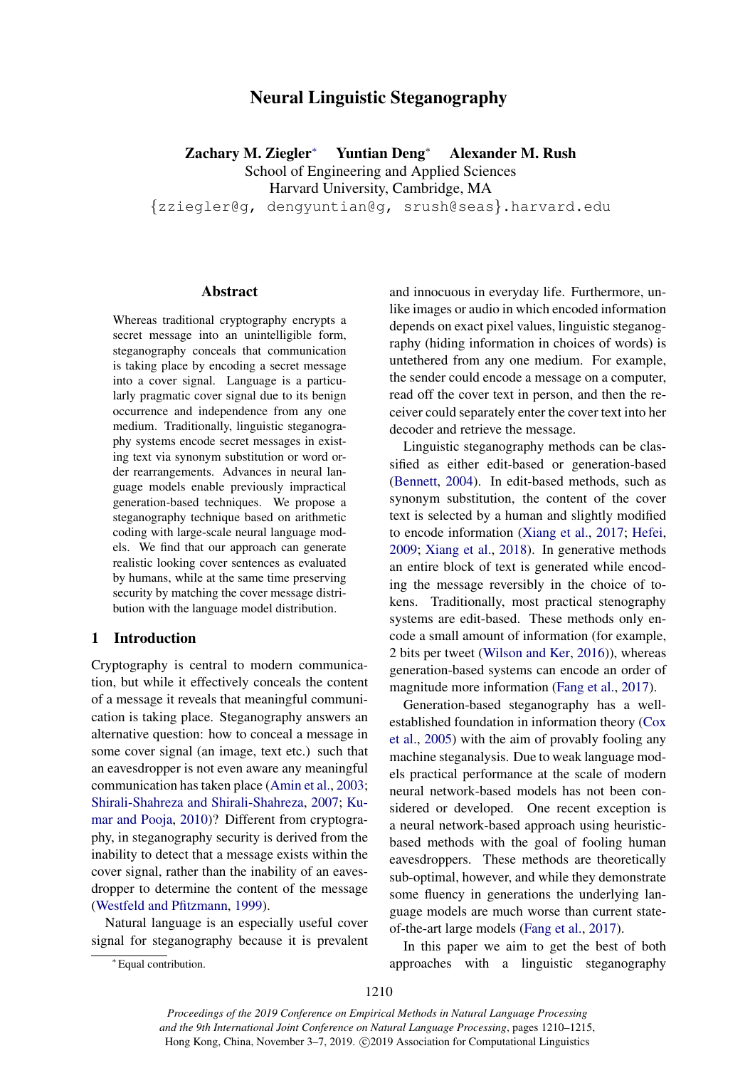# Neural Linguistic Steganography

Zachary M. Ziegler<sup>∗</sup> Yuntian Deng<sup>∗</sup> Alexander M. Rush School of Engineering and Applied Sciences Harvard University, Cambridge, MA {zziegler@g, dengyuntian@g, srush@seas}.harvard.edu

# Abstract

Whereas traditional cryptography encrypts a secret message into an unintelligible form, steganography conceals that communication is taking place by encoding a secret message into a cover signal. Language is a particularly pragmatic cover signal due to its benign occurrence and independence from any one medium. Traditionally, linguistic steganography systems encode secret messages in existing text via synonym substitution or word order rearrangements. Advances in neural language models enable previously impractical generation-based techniques. We propose a steganography technique based on arithmetic coding with large-scale neural language models. We find that our approach can generate realistic looking cover sentences as evaluated by humans, while at the same time preserving security by matching the cover message distribution with the language model distribution.

# 1 Introduction

Cryptography is central to modern communication, but while it effectively conceals the content of a message it reveals that meaningful communication is taking place. Steganography answers an alternative question: how to conceal a message in some cover signal (an image, text etc.) such that an eavesdropper is not even aware any meaningful communication has taken place [\(Amin et al.,](#page-5-0) [2003;](#page-5-0) [Shirali-Shahreza and Shirali-Shahreza,](#page-5-1) [2007;](#page-5-1) [Ku](#page-5-2)[mar and Pooja,](#page-5-2) [2010\)](#page-5-2)? Different from cryptography, in steganography security is derived from the inability to detect that a message exists within the cover signal, rather than the inability of an eavesdropper to determine the content of the message [\(Westfeld and Pfitzmann,](#page-5-3) [1999\)](#page-5-3).

Natural language is an especially useful cover signal for steganography because it is prevalent

and innocuous in everyday life. Furthermore, unlike images or audio in which encoded information depends on exact pixel values, linguistic steganography (hiding information in choices of words) is untethered from any one medium. For example, the sender could encode a message on a computer, read off the cover text in person, and then the receiver could separately enter the cover text into her decoder and retrieve the message.

Linguistic steganography methods can be classified as either edit-based or generation-based [\(Bennett,](#page-5-4) [2004\)](#page-5-4). In edit-based methods, such as synonym substitution, the content of the cover text is selected by a human and slightly modified to encode information [\(Xiang et al.,](#page-5-5) [2017;](#page-5-5) [Hefei,](#page-5-6) [2009;](#page-5-6) [Xiang et al.,](#page-5-7) [2018\)](#page-5-7). In generative methods an entire block of text is generated while encoding the message reversibly in the choice of tokens. Traditionally, most practical stenography systems are edit-based. These methods only encode a small amount of information (for example, 2 bits per tweet [\(Wilson and Ker,](#page-5-8) [2016\)](#page-5-8)), whereas generation-based systems can encode an order of magnitude more information [\(Fang et al.,](#page-5-9) [2017\)](#page-5-9).

Generation-based steganography has a wellestablished foundation in information theory [\(Cox](#page-5-10) [et al.,](#page-5-10) [2005\)](#page-5-10) with the aim of provably fooling any machine steganalysis. Due to weak language models practical performance at the scale of modern neural network-based models has not been considered or developed. One recent exception is a neural network-based approach using heuristicbased methods with the goal of fooling human eavesdroppers. These methods are theoretically sub-optimal, however, and while they demonstrate some fluency in generations the underlying language models are much worse than current stateof-the-art large models [\(Fang et al.,](#page-5-9) [2017\)](#page-5-9).

In this paper we aim to get the best of both approaches with a linguistic steganography

<sup>∗</sup> Equal contribution.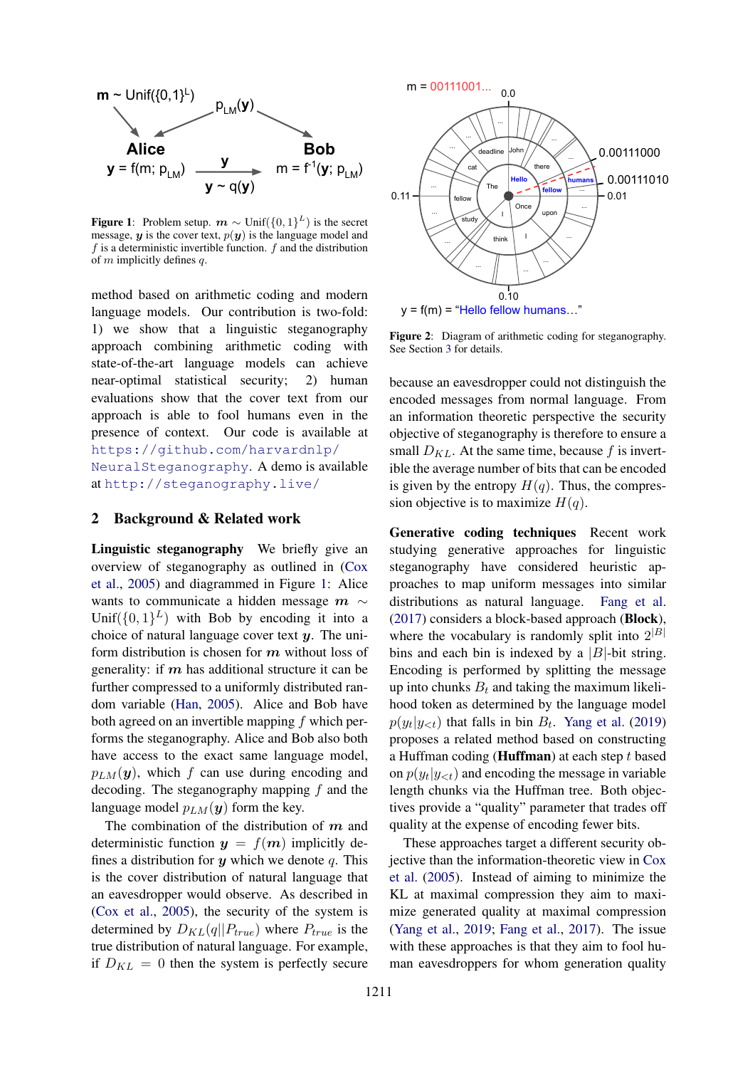<span id="page-1-0"></span>

**Figure 1:** Problem setup.  $m \sim \text{Unif}(\{0, 1\}^L)$  is the secret message,  $y$  is the cover text,  $p(y)$  is the language model and  $f$  is a deterministic invertible function.  $f$  and the distribution of  $m$  implicitly defines  $q$ .

method based on arithmetic coding and modern language models. Our contribution is two-fold: 1) we show that a linguistic steganography approach combining arithmetic coding with state-of-the-art language models can achieve near-optimal statistical security; 2) human evaluations show that the cover text from our approach is able to fool humans even in the presence of context. Our code is available at [https://github.com/harvardnlp/](https://github.com/harvardnlp/NeuralSteganography) [NeuralSteganography](https://github.com/harvardnlp/NeuralSteganography). A demo is available at <http://steganography.live/>

## 2 Background & Related work

**Alice**<br> **EDD**<br> **f**(m;  $p_{LM}$ )  $y \rightharpoonup y \rightharpoonup 0$ <br> **EPD**<br> **EPD**<br> **EPD**<br> **EPD**<br> **EPD**<br> **EPD**<br> **EPD**<br> **EPD**<br> **EPD**<br> **EPD**<br> **EPD**<br> **EPD**<br> **EPD**<br> **EPD**<br> **EPD**<br> **EPD**<br> **EPD**<br> **EPD**<br> **EPD**<br> **EPD**<br> **EPD**<br> **EPD**<br> **EPD**<br> **EPD**<br> **E** Linguistic steganography We briefly give an overview of steganography as outlined in [\(Cox](#page-5-10) [et al.,](#page-5-10) [2005\)](#page-5-10) and diagrammed in Figure [1:](#page-1-0) Alice wants to communicate a hidden message  $m \sim$ Unif( $\{0,1\}^L$ ) with Bob by encoding it into a choice of natural language cover text  $y$ . The uniform distribution is chosen for  $m$  without loss of generality: if  $m$  has additional structure it can be further compressed to a uniformly distributed random variable [\(Han,](#page-5-11) [2005\)](#page-5-11). Alice and Bob have both agreed on an invertible mapping  $f$  which performs the steganography. Alice and Bob also both have access to the exact same language model,  $p_{LM}(\mathbf{y})$ , which f can use during encoding and decoding. The steganography mapping  $f$  and the language model  $p_{LM}(\mathbf{y})$  form the key.

The combination of the distribution of  $m$  and deterministic function  $y = f(m)$  implicitly defines a distribution for  $y$  which we denote q. This is the cover distribution of natural language that an eavesdropper would observe. As described in [\(Cox et al.,](#page-5-10) [2005\)](#page-5-10), the security of the system is determined by  $D_{KL}(q||P_{true})$  where  $P_{true}$  is the true distribution of natural language. For example, if  $D_{KL} = 0$  then the system is perfectly secure

<span id="page-1-1"></span>

Figure 2: Diagram of arithmetic coding for steganography. See Section [3](#page-2-0) for details.

because an eavesdropper could not distinguish the encoded messages from normal language. From an information theoretic perspective the security objective of steganography is therefore to ensure a small  $D_{KL}$ . At the same time, because f is invertible the average number of bits that can be encoded is given by the entropy  $H(q)$ . Thus, the compression objective is to maximize  $H(q)$ .

Generative coding techniques Recent work studying generative approaches for linguistic steganography have considered heuristic approaches to map uniform messages into similar distributions as natural language. [Fang et al.](#page-5-9) [\(2017\)](#page-5-9) considers a block-based approach (Block), where the vocabulary is randomly split into  $2^{|B|}$ bins and each bin is indexed by a  $|B|$ -bit string. Encoding is performed by splitting the message up into chunks  $B_t$  and taking the maximum likelihood token as determined by the language model  $p(y_t|y_{<};t)$  that falls in bin  $B_t$ . [Yang et al.](#page-5-12) [\(2019\)](#page-5-12) proposes a related method based on constructing a Huffman coding (**Huffman**) at each step  $t$  based on  $p(y_t|y_{<}; t)$  and encoding the message in variable length chunks via the Huffman tree. Both objectives provide a "quality" parameter that trades off quality at the expense of encoding fewer bits.

These approaches target a different security objective than the information-theoretic view in [Cox](#page-5-10) [et al.](#page-5-10) [\(2005\)](#page-5-10). Instead of aiming to minimize the KL at maximal compression they aim to maximize generated quality at maximal compression [\(Yang et al.,](#page-5-12) [2019;](#page-5-12) [Fang et al.,](#page-5-9) [2017\)](#page-5-9). The issue with these approaches is that they aim to fool human eavesdroppers for whom generation quality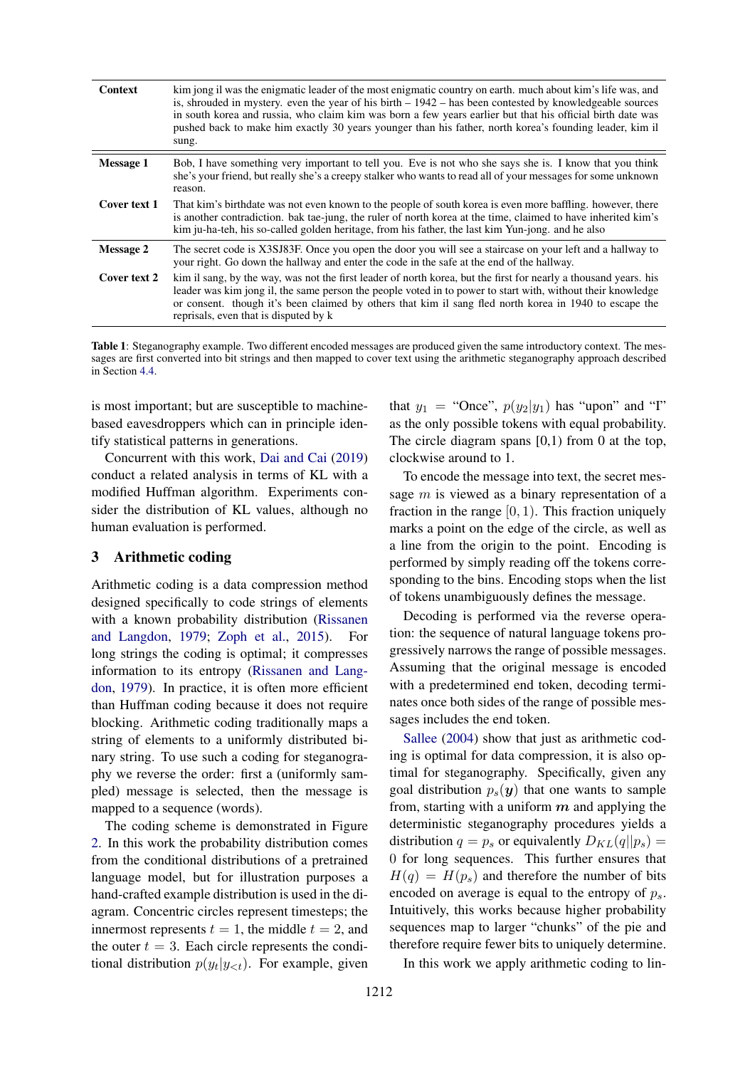<span id="page-2-1"></span>

| <b>Context</b>   | kim jong il was the enigmatic leader of the most enigmatic country on earth. much about kim's life was, and<br>is, shrouded in mystery. even the year of his birth $-1942$ – has been contested by knowledgeable sources<br>in south korea and russia, who claim kim was born a few years earlier but that his official birth date was<br>pushed back to make him exactly 30 years younger than his father, north korea's founding leader, kim il<br>sung. |
|------------------|------------------------------------------------------------------------------------------------------------------------------------------------------------------------------------------------------------------------------------------------------------------------------------------------------------------------------------------------------------------------------------------------------------------------------------------------------------|
| <b>Message 1</b> | Bob, I have something very important to tell you. Eve is not who she says she is. I know that you think<br>she's your friend, but really she's a creepy stalker who wants to read all of your messages for some unknown<br>reason.                                                                                                                                                                                                                         |
| Cover text 1     | That kim's birthdate was not even known to the people of south korea is even more baffling, however, there<br>is another contradiction. bak tae-jung, the ruler of north korea at the time, claimed to have inherited kim's<br>kim ju-ha-teh, his so-called golden heritage, from his father, the last kim Yun-jong, and he also                                                                                                                           |
| <b>Message 2</b> | The secret code is X3SJ83F. Once you open the door you will see a staircase on your left and a hallway to<br>your right. Go down the hallway and enter the code in the safe at the end of the hallway.                                                                                                                                                                                                                                                     |
| Cover text 2     | kim il sang, by the way, was not the first leader of north korea, but the first for nearly a thousand years, his<br>leader was kim jong il, the same person the people voted in to power to start with, without their knowledge<br>or consent. though it's been claimed by others that kim il sang fled north korea in 1940 to escape the<br>reprisals, even that is disputed by k                                                                         |

Table 1: Steganography example. Two different encoded messages are produced given the same introductory context. The messages are first converted into bit strings and then mapped to cover text using the arithmetic steganography approach described in Section [4.4.](#page-4-0)

is most important; but are susceptible to machinebased eavesdroppers which can in principle identify statistical patterns in generations.

Concurrent with this work, [Dai and Cai](#page-5-13) [\(2019\)](#page-5-13) conduct a related analysis in terms of KL with a modified Huffman algorithm. Experiments consider the distribution of KL values, although no human evaluation is performed.

### <span id="page-2-0"></span>3 Arithmetic coding

Arithmetic coding is a data compression method designed specifically to code strings of elements with a known probability distribution [\(Rissanen](#page-5-14) [and Langdon,](#page-5-14) [1979;](#page-5-14) [Zoph et al.,](#page-5-15) [2015\)](#page-5-15). For long strings the coding is optimal; it compresses information to its entropy [\(Rissanen and Lang](#page-5-14)[don,](#page-5-14) [1979\)](#page-5-14). In practice, it is often more efficient than Huffman coding because it does not require blocking. Arithmetic coding traditionally maps a string of elements to a uniformly distributed binary string. To use such a coding for steganography we reverse the order: first a (uniformly sampled) message is selected, then the message is mapped to a sequence (words).

The coding scheme is demonstrated in Figure [2.](#page-1-1) In this work the probability distribution comes from the conditional distributions of a pretrained language model, but for illustration purposes a hand-crafted example distribution is used in the diagram. Concentric circles represent timesteps; the innermost represents  $t = 1$ , the middle  $t = 2$ , and the outer  $t = 3$ . Each circle represents the conditional distribution  $p(y_t | y_{< t})$ . For example, given

that  $y_1$  = "Once",  $p(y_2|y_1)$  has "upon" and "I" as the only possible tokens with equal probability. The circle diagram spans  $[0,1)$  from 0 at the top, clockwise around to 1.

To encode the message into text, the secret message  $m$  is viewed as a binary representation of a fraction in the range  $[0, 1)$ . This fraction uniquely marks a point on the edge of the circle, as well as a line from the origin to the point. Encoding is performed by simply reading off the tokens corresponding to the bins. Encoding stops when the list of tokens unambiguously defines the message.

Decoding is performed via the reverse operation: the sequence of natural language tokens progressively narrows the range of possible messages. Assuming that the original message is encoded with a predetermined end token, decoding terminates once both sides of the range of possible messages includes the end token.

[Sallee](#page-5-16) [\(2004\)](#page-5-16) show that just as arithmetic coding is optimal for data compression, it is also optimal for steganography. Specifically, given any goal distribution  $p_s(y)$  that one wants to sample from, starting with a uniform  $m$  and applying the deterministic steganography procedures yields a distribution  $q = p_s$  or equivalently  $D_{KL}(q||p_s) =$ 0 for long sequences. This further ensures that  $H(q) = H(p<sub>s</sub>)$  and therefore the number of bits encoded on average is equal to the entropy of  $p_s$ . Intuitively, this works because higher probability sequences map to larger "chunks" of the pie and therefore require fewer bits to uniquely determine.

In this work we apply arithmetic coding to lin-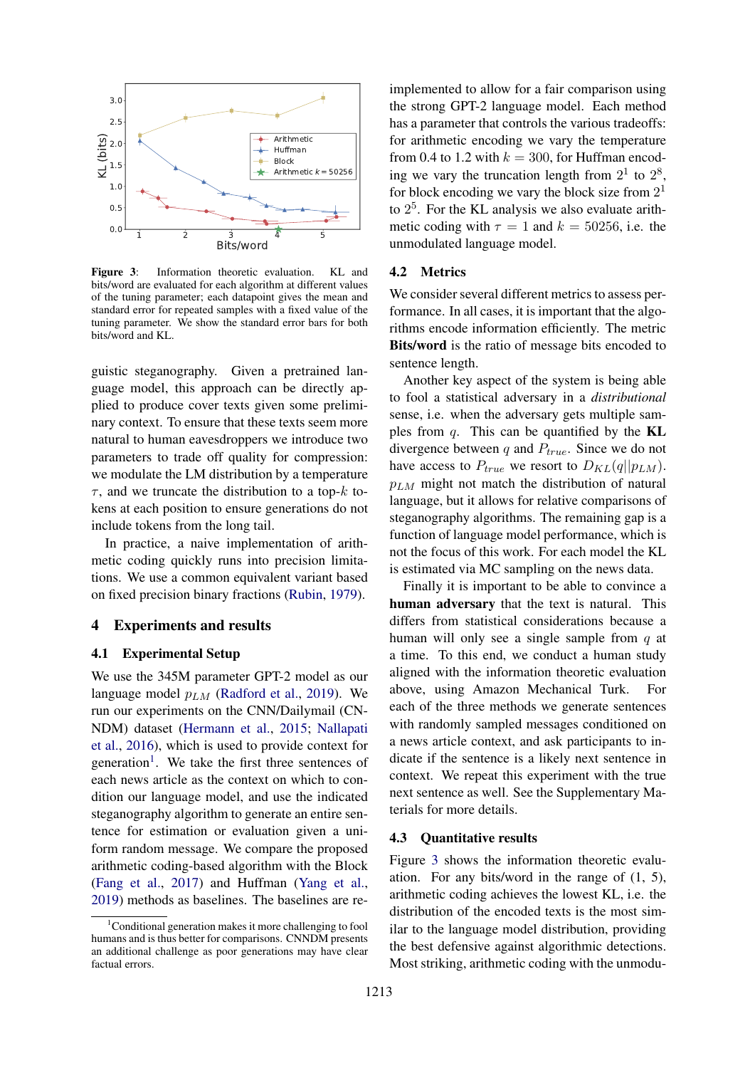<span id="page-3-1"></span>

Figure 3: Information theoretic evaluation. KL and bits/word are evaluated for each algorithm at different values of the tuning parameter; each datapoint gives the mean and standard error for repeated samples with a fixed value of the tuning parameter. We show the standard error bars for both bits/word and KL.

guistic steganography. Given a pretrained language model, this approach can be directly applied to produce cover texts given some preliminary context. To ensure that these texts seem more natural to human eavesdroppers we introduce two parameters to trade off quality for compression: we modulate the LM distribution by a temperature  $\tau$ , and we truncate the distribution to a top- $k$  tokens at each position to ensure generations do not include tokens from the long tail.

In practice, a naive implementation of arithmetic coding quickly runs into precision limitations. We use a common equivalent variant based on fixed precision binary fractions [\(Rubin,](#page-5-17) [1979\)](#page-5-17).

#### 4 Experiments and results

#### 4.1 Experimental Setup

<sup>1</sup> <sup>2</sup> Bits/word<br>
2 Bits/word<br>
2 1 momation theoretic evaluation. KL and<br>
2 angle parameter; each datapoint gives the mean and<br>
angle parameter; ceach datapoint gives the mean and<br>
armore for repeated samples with a fixe We use the 345M parameter GPT-2 model as our language model  $p_{LM}$  [\(Radford et al.,](#page-5-18) [2019\)](#page-5-18). We run our experiments on the CNN/Dailymail (CN-NDM) dataset [\(Hermann et al.,](#page-5-19) [2015;](#page-5-19) [Nallapati](#page-5-20) [et al.,](#page-5-20) [2016\)](#page-5-20), which is used to provide context for generation<sup>[1](#page-3-0)</sup>. We take the first three sentences of each news article as the context on which to condition our language model, and use the indicated steganography algorithm to generate an entire sentence for estimation or evaluation given a uniform random message. We compare the proposed arithmetic coding-based algorithm with the Block [\(Fang et al.,](#page-5-9) [2017\)](#page-5-9) and Huffman [\(Yang et al.,](#page-5-12) [2019\)](#page-5-12) methods as baselines. The baselines are re-

implemented to allow for a fair comparison using the strong GPT-2 language model. Each method has a parameter that controls the various tradeoffs: for arithmetic encoding we vary the temperature from 0.4 to 1.2 with  $k = 300$ , for Huffman encoding we vary the truncation length from  $2^1$  to  $2^8$ , for block encoding we vary the block size from  $2<sup>1</sup>$ to 2 5 . For the KL analysis we also evaluate arithmetic coding with  $\tau = 1$  and  $k = 50256$ , i.e. the unmodulated language model.

# 4.2 Metrics

We consider several different metrics to assess performance. In all cases, it is important that the algorithms encode information efficiently. The metric Bits/word is the ratio of message bits encoded to sentence length.

Another key aspect of the system is being able to fool a statistical adversary in a *distributional* sense, i.e. when the adversary gets multiple samples from  $q$ . This can be quantified by the **KL** divergence between q and  $P_{true}$ . Since we do not have access to  $P_{true}$  we resort to  $D_{KL}(q||p_{LM})$ .  $p_{LM}$  might not match the distribution of natural language, but it allows for relative comparisons of steganography algorithms. The remaining gap is a function of language model performance, which is not the focus of this work. For each model the KL is estimated via MC sampling on the news data.

Finally it is important to be able to convince a human adversary that the text is natural. This differs from statistical considerations because a human will only see a single sample from  $q$  at a time. To this end, we conduct a human study aligned with the information theoretic evaluation above, using Amazon Mechanical Turk. For each of the three methods we generate sentences with randomly sampled messages conditioned on a news article context, and ask participants to indicate if the sentence is a likely next sentence in context. We repeat this experiment with the true next sentence as well. See the Supplementary Materials for more details.

#### 4.3 Quantitative results

Figure [3](#page-3-1) shows the information theoretic evaluation. For any bits/word in the range of (1, 5), arithmetic coding achieves the lowest KL, i.e. the distribution of the encoded texts is the most similar to the language model distribution, providing the best defensive against algorithmic detections. Most striking, arithmetic coding with the unmodu-

<span id="page-3-0"></span><sup>&</sup>lt;sup>1</sup>Conditional generation makes it more challenging to fool humans and is thus better for comparisons. CNNDM presents an additional challenge as poor generations may have clear factual errors.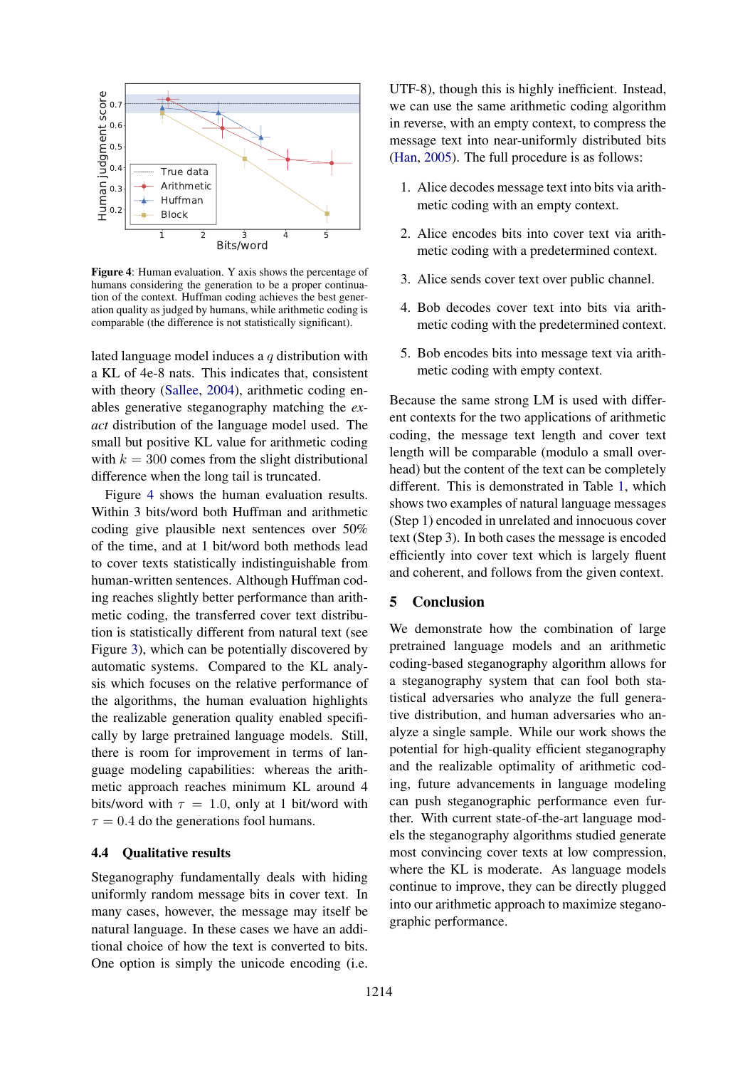<span id="page-4-1"></span>

Figure 4: Human evaluation. Y axis shows the percentage of humans considering the generation to be a proper continuation of the context. Huffman coding achieves the best generation quality as judged by humans, while arithmetic coding is comparable (the difference is not statistically significant).

lated language model induces a q distribution with a KL of 4e-8 nats. This indicates that, consistent with theory [\(Sallee,](#page-5-16) [2004\)](#page-5-16), arithmetic coding enables generative steganography matching the *exact* distribution of the language model used. The small but positive KL value for arithmetic coding with  $k = 300$  comes from the slight distributional difference when the long tail is truncated.

<sup>1</sup><sup>2</sup> <sup>3</sup>  $\frac{3}{2}$   $\frac{3}{2}$   $\frac{3}{2}$   $\frac{3}{2}$   $\frac{3}{2}$   $\frac{3}{2}$   $\frac{3}{2}$   $\frac{3}{2}$  an evaluation. Y axis shows the percentage of extertating the generation to be a proper continual coding achieves the best generat Figure [4](#page-4-1) shows the human evaluation results. Within 3 bits/word both Huffman and arithmetic coding give plausible next sentences over 50% of the time, and at 1 bit/word both methods lead to cover texts statistically indistinguishable from human-written sentences. Although Huffman coding reaches slightly better performance than arithmetic coding, the transferred cover text distribution is statistically different from natural text (see Figure [3\)](#page-3-1), which can be potentially discovered by automatic systems. Compared to the KL analysis which focuses on the relative performance of the algorithms, the human evaluation highlights the realizable generation quality enabled specifically by large pretrained language models. Still, there is room for improvement in terms of language modeling capabilities: whereas the arithmetic approach reaches minimum KL around 4 bits/word with  $\tau = 1.0$ , only at 1 bit/word with  $\tau = 0.4$  do the generations fool humans.

# <span id="page-4-0"></span>4.4 Qualitative results

Steganography fundamentally deals with hiding uniformly random message bits in cover text. In many cases, however, the message may itself be natural language. In these cases we have an additional choice of how the text is converted to bits. One option is simply the unicode encoding (i.e.

UTF-8), though this is highly inefficient. Instead, we can use the same arithmetic coding algorithm in reverse, with an empty context, to compress the message text into near-uniformly distributed bits [\(Han,](#page-5-11) [2005\)](#page-5-11). The full procedure is as follows:

- 1. Alice decodes message text into bits via arithmetic coding with an empty context.
- 2. Alice encodes bits into cover text via arithmetic coding with a predetermined context.
- 3. Alice sends cover text over public channel.
- 4. Bob decodes cover text into bits via arithmetic coding with the predetermined context.
- 5. Bob encodes bits into message text via arithmetic coding with empty context.

Because the same strong LM is used with different contexts for the two applications of arithmetic coding, the message text length and cover text length will be comparable (modulo a small overhead) but the content of the text can be completely different. This is demonstrated in Table [1,](#page-2-1) which shows two examples of natural language messages (Step 1) encoded in unrelated and innocuous cover text (Step 3). In both cases the message is encoded efficiently into cover text which is largely fluent and coherent, and follows from the given context.

## 5 Conclusion

We demonstrate how the combination of large pretrained language models and an arithmetic coding-based steganography algorithm allows for a steganography system that can fool both statistical adversaries who analyze the full generative distribution, and human adversaries who analyze a single sample. While our work shows the potential for high-quality efficient steganography and the realizable optimality of arithmetic coding, future advancements in language modeling can push steganographic performance even further. With current state-of-the-art language models the steganography algorithms studied generate most convincing cover texts at low compression, where the KL is moderate. As language models continue to improve, they can be directly plugged into our arithmetic approach to maximize steganographic performance.